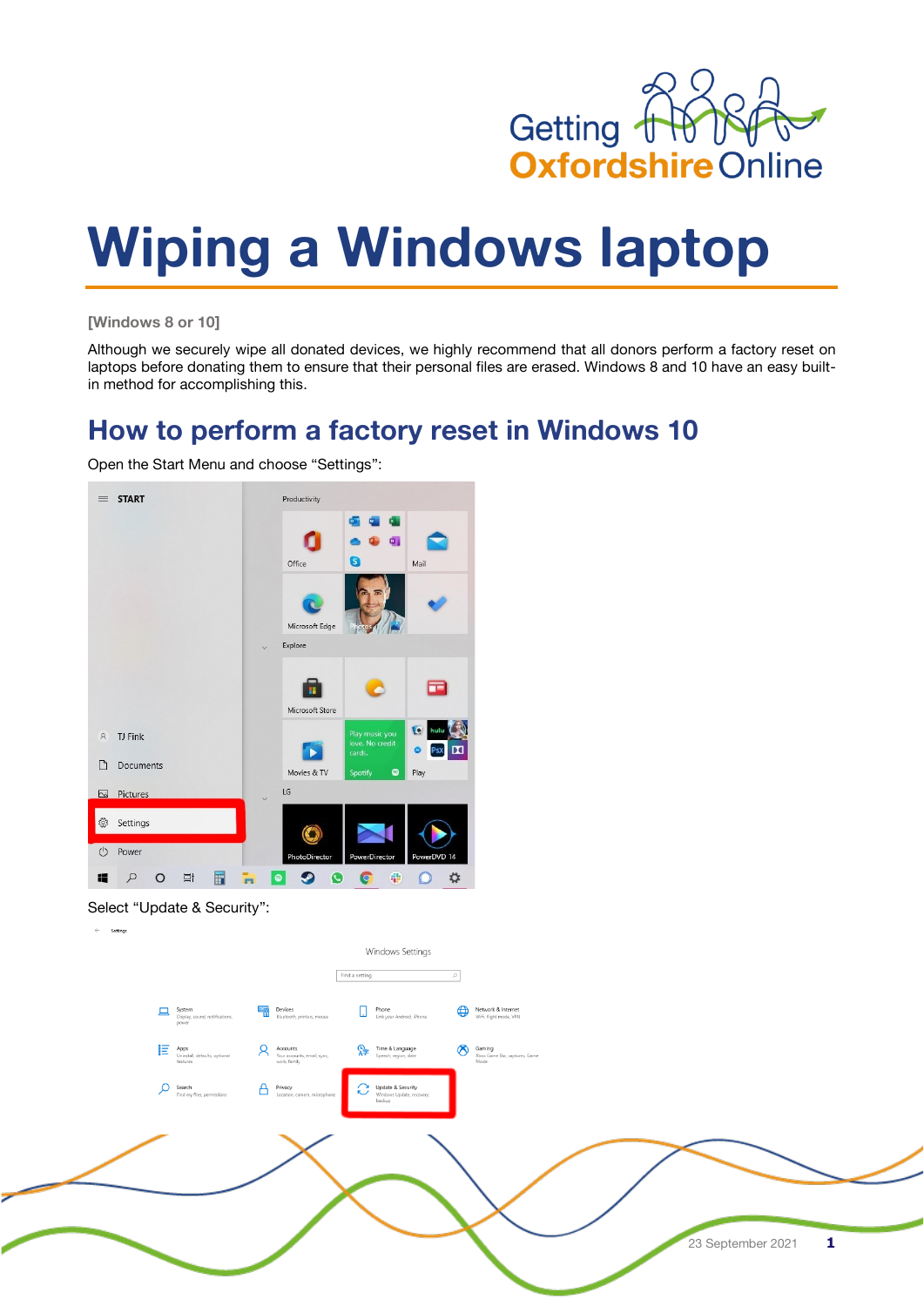

# **Wiping a Windows laptop**

**[Windows 8 or 10]**

Although we securely wipe all donated devices, we highly recommend that all donors perform a factory reset on laptops before donating them to ensure that their personal files are erased. Windows 8 and 10 have an easy builtin method for accomplishing this.

# **How to perform a factory reset in Windows 10**

Open the Start Menu and choose "Settings":





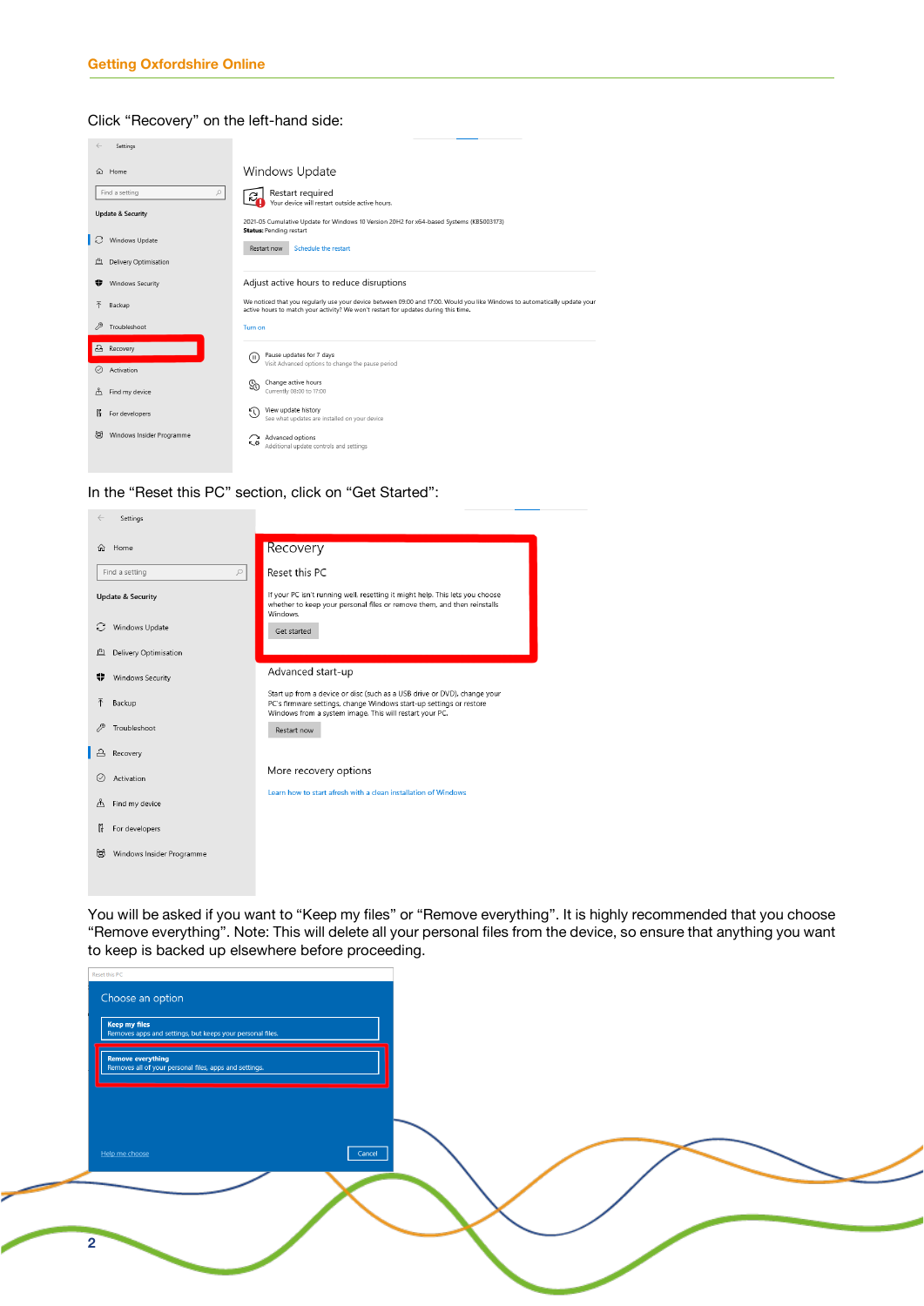#### Click "Recovery" on the left-hand side:

|                                       | Settings                                                                                  |                                                                                                                                                                                                                                                                           |
|---------------------------------------|-------------------------------------------------------------------------------------------|---------------------------------------------------------------------------------------------------------------------------------------------------------------------------------------------------------------------------------------------------------------------------|
| 分                                     | Home<br>Find a setting<br>$\mathcal{L}$<br><b>Update &amp; Security</b><br>Windows Update | Windows Update<br>Restart required<br>୍କ<br>Your device will restart outside active hours.<br>2021-05 Cumulative Update for Windows 10 Version 20H2 for x64-based Systems (KB5003173)<br><b>Status: Pending restart</b><br>Schedule the restart<br>Restart now            |
| 凸<br>÷                                | Delivery Optimisation<br><b>Windows Security</b><br>Backup<br>Troubleshoot                | Adjust active hours to reduce disruptions<br>We noticed that you reqularly use your device between 09:00 and 17:00. Would you like Windows to automatically update your<br>active hours to match your activity? We won't restart for updates during this time.<br>Turn on |
| $\Delta$<br>$\oslash$<br>ቶ<br>16<br>属 | Recovery<br>Activation<br>Find my device<br>For developers<br>Windows Insider Programme   | Pause updates for 7 days<br>(II)<br>Visit Advanced options to change the pause period<br>Change active hours<br>So<br>Currently 08:00 to 17:00<br>View update history<br>N<br>See what updates are installed on your device<br>Advanced options                           |
|                                       |                                                                                           | ᅐ<br>Additional update controls and settings                                                                                                                                                                                                                              |

In the "Reset this PC" section, click on "Get Started":

 $\mathcal{L}(\mathcal{L})$ 

|    | Settings                     |                                                                                                                                                                                                            |
|----|------------------------------|------------------------------------------------------------------------------------------------------------------------------------------------------------------------------------------------------------|
| 夼  | Home                         | Recovery                                                                                                                                                                                                   |
|    | Find a setting<br>$\varphi$  | Reset this PC                                                                                                                                                                                              |
|    | <b>Update &amp; Security</b> | If your PC isn't running well, resetting it might help. This lets you choose<br>whether to keep your personal files or remove them, and then reinstalls<br>Windows.                                        |
| C  | Windows Update               | Get started                                                                                                                                                                                                |
| 凸  | Delivery Optimisation        |                                                                                                                                                                                                            |
|    | Windows Security             | Advanced start-up                                                                                                                                                                                          |
| 不  | Backup                       | Start up from a device or disc (such as a USB drive or DVD), change your<br>PC's firmware settings, change Windows start-up settings or restore<br>Windows from a system image. This will restart your PC. |
|    | Troubleshoot                 | Restart now                                                                                                                                                                                                |
|    | Recovery                     |                                                                                                                                                                                                            |
|    | Activation                   | More recovery options                                                                                                                                                                                      |
| ቶ  | Find my device               | Learn how to start afresh with a clean installation of Windows                                                                                                                                             |
| îĤ | For developers               |                                                                                                                                                                                                            |
| 扇  | Windows Insider Programme    |                                                                                                                                                                                                            |
|    |                              |                                                                                                                                                                                                            |

You will be asked if you want to "Keep my files" or "Remove everything". It is highly recommended that you choose "Remove everything". Note: This will delete all your personal files from the device, so ensure that anything you want to keep is backed up elsewhere before proceeding.

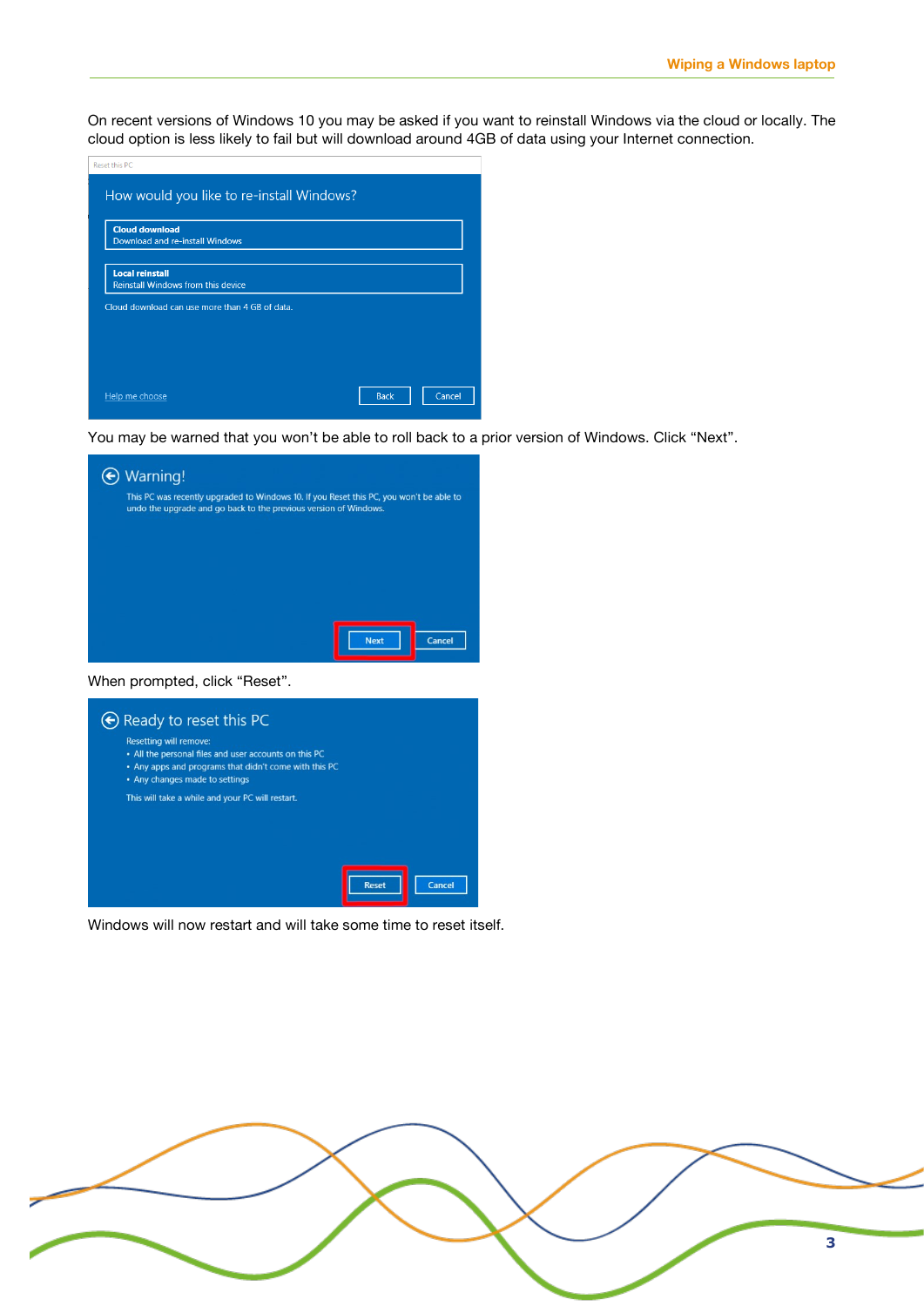On recent versions of Windows 10 you may be asked if you want to reinstall Windows via the cloud or locally. The cloud option is less likely to fail but will download around 4GB of data using your Internet connection.

| Reset this PC                                                       |                       |
|---------------------------------------------------------------------|-----------------------|
| How would you like to re-install Windows?                           |                       |
| <b>Cloud download</b><br>Download and re-install Windows            |                       |
| <b>Local reinstall</b><br><b>Reinstall Windows from this device</b> |                       |
| Cloud download can use more than 4 GB of data.                      |                       |
|                                                                     |                       |
| Help me choose                                                      | <b>Back</b><br>Cancel |

You may be warned that you won't be able to roll back to a prior version of Windows. Click "Next".



When prompted, click "Reset".



Windows will now restart and will take some time to reset itself.

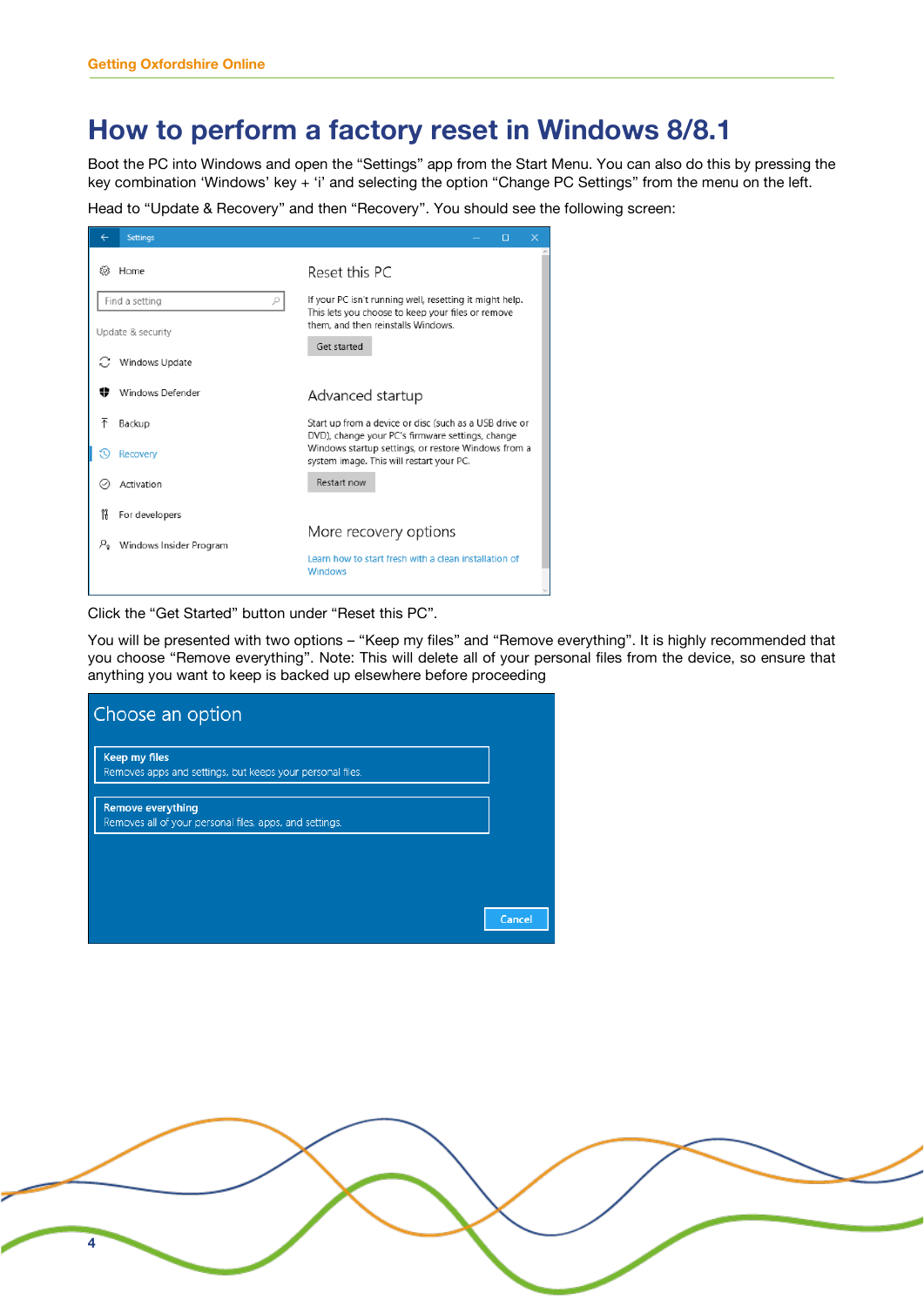### **How to perform a factory reset in Windows 8/8.1**

Boot the PC into Windows and open the "Settings" app from the Start Menu. You can also do this by pressing the key combination 'Windows' key + 'i' and selecting the option "Change PC Settings" from the menu on the left.

Head to "Update & Recovery" and then "Recovery". You should see the following screen:

| <b>Settings</b>                        | □<br>$\times$                                                                                              |
|----------------------------------------|------------------------------------------------------------------------------------------------------------|
| १०३<br>Home                            | Reset this PC                                                                                              |
| Find a setting<br>ρ                    | If your PC isn't running well, resetting it might help.                                                    |
| Update & security                      | This lets you choose to keep your files or remove<br>them, and then reinstalls Windows.                    |
|                                        | Get started                                                                                                |
| Windows Update                         |                                                                                                            |
| Windows Defender                       | Advanced startup                                                                                           |
| 不<br>Backup                            | Start up from a device or disc (such as a USB drive or<br>DVD), change your PC's firmware settings, change |
| 50<br><b>Recovery</b>                  | Windows startup settings, or restore Windows from a<br>system image. This will restart your PC.            |
| Activation<br>$(\mathcal{S})$          | Restart now                                                                                                |
| ĥ<br>For developers                    |                                                                                                            |
| $P_{\rm o}$<br>Windows Insider Program | More recovery options                                                                                      |
|                                        | Learn how to start fresh with a clean installation of<br><b>Windows</b>                                    |
|                                        |                                                                                                            |

Click the "Get Started" button under "Reset this PC".

You will be presented with two options – "Keep my files" and "Remove everything". It is highly recommended that you choose "Remove everything". Note: This will delete all of your personal files from the device, so ensure that anything you want to keep is backed up elsewhere before proceeding

| Choose an option                                                                    |        |
|-------------------------------------------------------------------------------------|--------|
| <b>Keep my files</b><br>Removes apps and settings, but keeps your personal files.   |        |
| <b>Remove everything</b><br>Removes all of your personal files, apps, and settings. |        |
|                                                                                     |        |
|                                                                                     | Cancel |